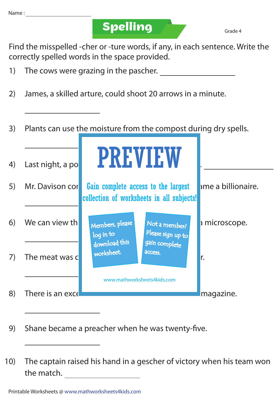**Spelling Grade 4** 

Find the misspelled -cher or -ture words, if any, in each sentence. Write the correctly spelled words in the space provided.

- 1) The cows were grazing in the pascher.
- 2) James, a skilled arture, could shoot 20 arrows in a minute.
- 3) Plants can use the moisture from the compost during dry spells.



- 9) Shane became a preacher when he was twenty-five.
- 10) The captain raised his hand in a gescher of victory when his team won the match.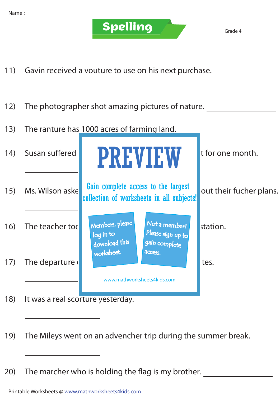

- 11) Gavin received a vouture to use on his next purchase.
- 12) The photographer shot amazing pictures of nature.
- 13) The ranture has 1000 acres of farming land.

| (14) | Susan suffered                                                   | <b>PREVIEW</b>                                                                   |                                                     | t for one month.        |
|------|------------------------------------------------------------------|----------------------------------------------------------------------------------|-----------------------------------------------------|-------------------------|
| 15)  | Ms. Wilson aske                                                  | Gain complete access to the largest<br>collection of worksheets in all subjects! |                                                     | out their fucher plans. |
| 16)  | The teacher too                                                  | Members, please<br>$log$ in to<br>download this                                  | Not a member?<br>Please sign up to<br>gain complete | station.                |
| 17)  | The departure                                                    | worksheet.                                                                       | <b>ACCESS.</b>                                      | Ites.                   |
| 18)  | www.mathworksheets4kids.com<br>It was a real scorture yesterday. |                                                                                  |                                                     |                         |

- 19) The Mileys went on an advencher trip during the summer break.
- 20) The marcher who is holding the flag is my brother.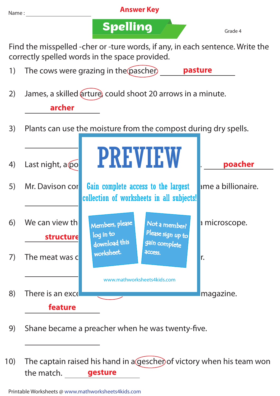

9) Shane became a preacher when he was twenty-five.

10) The captain raised his hand in a gescher of victory when his team won the match. **gesture**